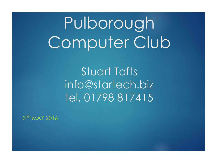# Pulborough Computer Club

Stuart Tofts info@startech.biz tel. 01798 817415

3 RD MAY 2016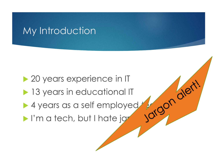### My Introduction

▶ 20 years experience in IT

- **13 years in educational IT**
- 4 years as a self employed teach the state of the state of the state of the state of the state of the state of the state of the state of the state of the state of the state of the state of the state of the state of the sta
- I'm a tech, but I hate jar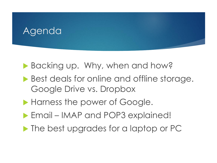### Agenda

Backing up. Why, when and how?

- Best deals for online and offline storage. Google Drive vs. Dropbox
- Harness the power of Google.
- Email IMAP and POP3 explained!
- **The best upgrades for a laptop or PC**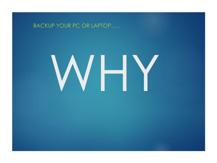#### BACKUP YOUR PC OR LAPTOP…..

# WHY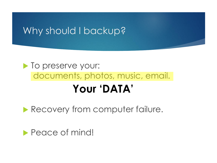### Why should I backup?

### $\blacktriangleright$  To preserve your: documents, photos, music, email. **Your 'DATA'**

Recovery from computer failure.

Peace of mind!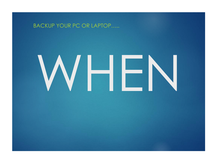#### BACKUP YOUR PC OR LAPTOP…..

# WHEN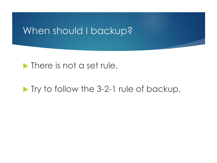### When should I backup?

### **There is not a set rule.**

### **Try to follow the 3-2-1 rule of backup.**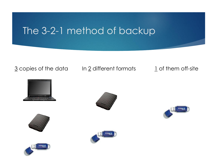### The 3-2-1 method of backup

### $\frac{3}{2}$  copies of the data In 2 different formats 1 of them off-site











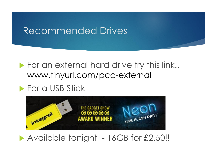### Recommended Drives

### For an external hard drive try this link.. [www.tinyurl.com/pcc-external](http://www.tinyurl.com/pcc-external)

### **For a USB Stick**



### Available tonight - 16GB for £2.50!!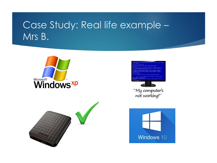### Case Study: Real life example – Mrs B.







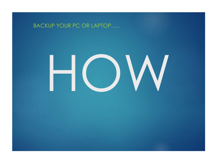### BACKUP YOUR PC OR LAPTOP…..

# HOW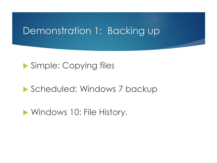### Demonstration 1: Backing up

### ▶ Simple: Copying files

### Scheduled: Windows 7 backup

**Number 10: File History.**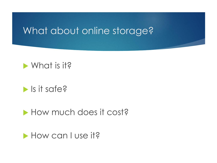### What about online storage?

### What is it?

### $\blacktriangleright$  Is it safe?

### How much does it cost?

How can I use it?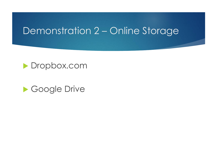### Demonstration 2 – Online Storage



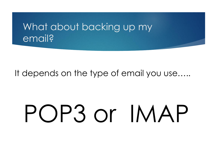### What about backing up my email?

It depends on the type of email you use…..

# POP3 or IMAP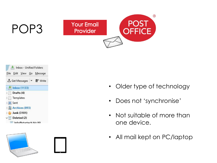## POP3



Inbox - Unified Folders File Edit View Go Message ≛ Get Messages ▼ ■ Write  $\blacksquare$  Inbox (1133) Drafts (4)  $\geq$  Templates > Sent > di Archives (893) > Junk (3101)  $\vee$  Deleted (2)  $\ln$  info@ctartech hiz $(6)$ 



- Older type of technology
- Does not 'synchronise'
- Not suitable of more than one device.
- All mail kept on PC/laptop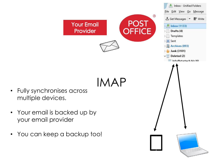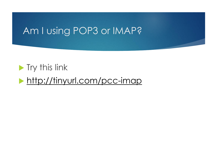### Am I using POP3 or IMAP?

### **Try this link**

<http://tinyurl.com/pcc-imap>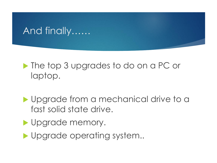## And finally……

### **The top 3 upgrades to do on a PC or** laptop.

- **I** Upgrade from a mechanical drive to a fast solid state drive.
- Upgrade memory.
- Upgrade operating system..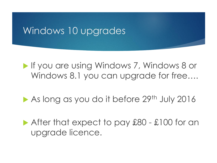### Windows 10 upgrades

**If you are using Windows 7, Windows 8 or** Windows 8.1 you can upgrade for free....

As long as you do it before 29th July 2016

After that expect to pay £80 - £100 for an upgrade licence.